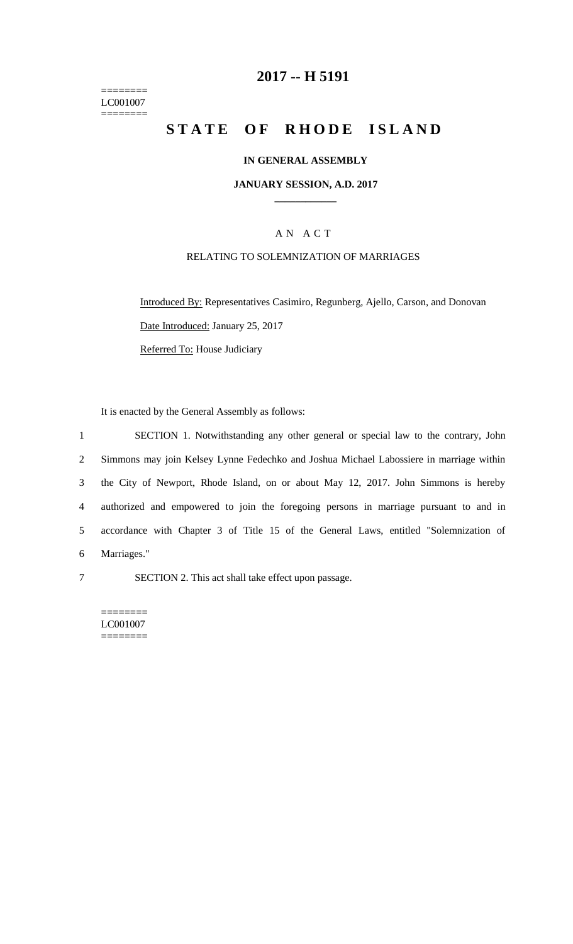======== LC001007  $=$ 

# **2017 -- H 5191**

# **STATE OF RHODE ISLAND**

### **IN GENERAL ASSEMBLY**

#### **JANUARY SESSION, A.D. 2017 \_\_\_\_\_\_\_\_\_\_\_\_**

## A N A C T

### RELATING TO SOLEMNIZATION OF MARRIAGES

Introduced By: Representatives Casimiro, Regunberg, Ajello, Carson, and Donovan Date Introduced: January 25, 2017 Referred To: House Judiciary

It is enacted by the General Assembly as follows:

 SECTION 1. Notwithstanding any other general or special law to the contrary, John Simmons may join Kelsey Lynne Fedechko and Joshua Michael Labossiere in marriage within the City of Newport, Rhode Island, on or about May 12, 2017. John Simmons is hereby authorized and empowered to join the foregoing persons in marriage pursuant to and in accordance with Chapter 3 of Title 15 of the General Laws, entitled "Solemnization of Marriages."

7 SECTION 2. This act shall take effect upon passage.

======== LC001007 ========